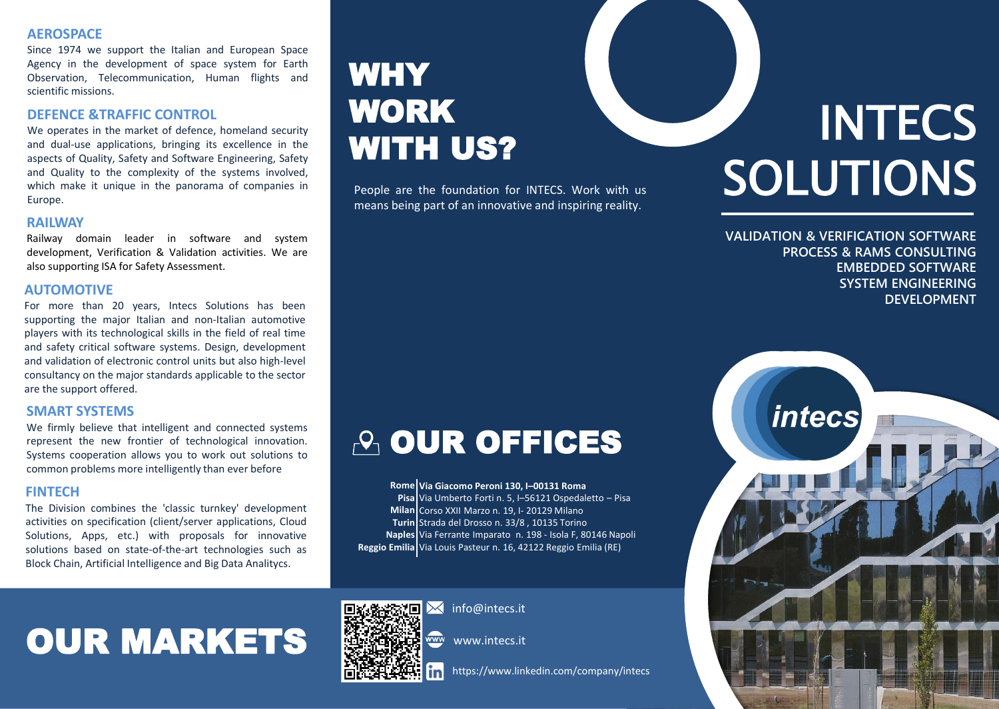### **AEROSPACE**

Since 1974 we support the Italian and European Space Agency in the development of space system for Earth Observation, Telecommunication, Human flights and scientific missions.

#### **DEFENCE &TRAFFIC CONTROL**

We operates in the market of defence, homeland security and dual-use applications, bringing its excellence in the aspects of Quality, Safety and Software Engineering, Safety and Quality to the complexity of the systems involved, which make it unique in the panorama of companies in Europe.

#### **RAILWAY**

Railway domain leader in software and system development, Verification & Validation activities. We are also supporting ISA for Safety Assessment.

#### **AUTOMOTIVE**

For more than 20 years, Intecs Solutions has been supporting the major Italian and non-Italian automotive players with its technological skills in the field of real time and safety critical software systems. Design, development and validation of electronic control units but also high-level consultancy on the major standards applicable to the sector are the support offered.

### **SMART SYSTEMS**

We firmly believe that intelligent and connected systems represent the new frontier of technological innovation. Systems cooperation allows you to work out solutions to common problems more intelligently than ever before

The Division combines the 'classic turnkey' development activities on specification (client/server applications, Cloud Solutions, Apps, etc.) with proposals for innovative solutions based on state-of-the-art technologies such as Block Chain, Artificial Intelligence and Big Data Analitycs.

### **WHY** WORK WITH US?

People are the foundation for INTECS. Work with us means being part of an innovative and inspiring reality.

### **A OUR OFFICES**

**FINTECH Rome Pisa** Via Umberto Forti n. 5, I–56121 Ospedaletto – Pisa **Milan** Corso XXII Marzo n. 19, I- 20129 Milano **Turin** Strada del Drosso n. 33/8 , 10135 Torino **Naples** Via Ferrante Imparato n. 198 - Isola F, 80146 Napoli **Reggio Emilia** Via Louis Pasteur n. 16, 42122 Reggio Emilia (RE)**Via Giacomo Peroni 130, I–00131 Roma**

## OUR MARKETS



 $\overline{\mathsf{K}}$  info@intecs.it

www.intecs.it

https://www.linkedin.com/company/intecs

# **INTECS** SOLUTIONS

**VALIDATION & VERIFICATION SOFTWARE PROCESS & RAMS CONSULTING EMBEDDED SOFTWARE SYSTEM ENGINEERING DEVELOPMENT**